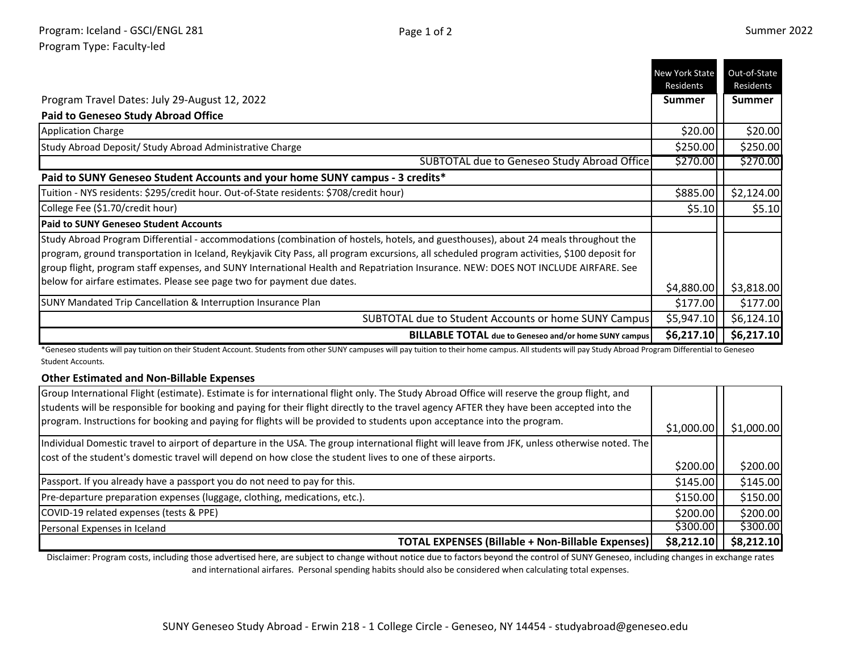- -

|                                                                                                                                                                                                                                                                                                                                                                                                                          | <b>New York State</b><br>Residents | Out-of-State<br>Residents |
|--------------------------------------------------------------------------------------------------------------------------------------------------------------------------------------------------------------------------------------------------------------------------------------------------------------------------------------------------------------------------------------------------------------------------|------------------------------------|---------------------------|
| Program Travel Dates: July 29-August 12, 2022                                                                                                                                                                                                                                                                                                                                                                            | <b>Summer</b>                      | <b>Summer</b>             |
| <b>Paid to Geneseo Study Abroad Office</b>                                                                                                                                                                                                                                                                                                                                                                               |                                    |                           |
| <b>Application Charge</b>                                                                                                                                                                                                                                                                                                                                                                                                | \$20.00                            | \$20.00                   |
| Study Abroad Deposit/ Study Abroad Administrative Charge                                                                                                                                                                                                                                                                                                                                                                 | \$250.00                           | \$250.00                  |
| SUBTOTAL due to Geneseo Study Abroad Office                                                                                                                                                                                                                                                                                                                                                                              | \$270.00                           | \$270.00                  |
| Paid to SUNY Geneseo Student Accounts and your home SUNY campus - 3 credits*                                                                                                                                                                                                                                                                                                                                             |                                    |                           |
| Tuition - NYS residents: \$295/credit hour. Out-of-State residents: \$708/credit hour)                                                                                                                                                                                                                                                                                                                                   | \$885.00                           | \$2,124.00                |
| College Fee (\$1.70/credit hour)                                                                                                                                                                                                                                                                                                                                                                                         | \$5.10                             | \$5.10                    |
| <b>Paid to SUNY Geneseo Student Accounts</b>                                                                                                                                                                                                                                                                                                                                                                             |                                    |                           |
| Study Abroad Program Differential - accommodations (combination of hostels, hotels, and guesthouses), about 24 meals throughout the<br>program, ground transportation in Iceland, Reykjavik City Pass, all program excursions, all scheduled program activities, \$100 deposit for<br>group flight, program staff expenses, and SUNY International Health and Repatriation Insurance. NEW: DOES NOT INCLUDE AIRFARE. See |                                    |                           |
| below for airfare estimates. Please see page two for payment due dates.                                                                                                                                                                                                                                                                                                                                                  | \$4,880.00                         | \$3,818.00                |
| SUNY Mandated Trip Cancellation & Interruption Insurance Plan                                                                                                                                                                                                                                                                                                                                                            | \$177.00                           | \$177.00                  |
| SUBTOTAL due to Student Accounts or home SUNY Campus                                                                                                                                                                                                                                                                                                                                                                     | \$5,947.10                         | \$6,124.10                |
| <b>BILLABLE TOTAL</b> due to Geneseo and/or home SUNY campus                                                                                                                                                                                                                                                                                                                                                             | \$6,217.10                         | \$6,217.10                |

\*Geneseo students will pay tuition on their Student Account. Students from other SUNY campuses will pay tuition to their home campus. All students will pay Study Abroad Program Differential to Geneseo Student Accounts.

## **Other Estimated and Non-Billable Expenses**

| Group International Flight (estimate). Estimate is for international flight only. The Study Abroad Office will reserve the group flight, and   |            |            |
|------------------------------------------------------------------------------------------------------------------------------------------------|------------|------------|
| students will be responsible for booking and paying for their flight directly to the travel agency AFTER they have been accepted into the      |            |            |
| program. Instructions for booking and paying for flights will be provided to students upon acceptance into the program.                        | \$1,000.00 | \$1,000.00 |
| Individual Domestic travel to airport of departure in the USA. The group international flight will leave from JFK, unless otherwise noted. The |            |            |
| cost of the student's domestic travel will depend on how close the student lives to one of these airports.                                     |            |            |
|                                                                                                                                                | \$200.00   | \$200.00]  |
| Passport. If you already have a passport you do not need to pay for this.                                                                      | \$145.00   | \$145.00   |
| Pre-departure preparation expenses (luggage, clothing, medications, etc.).                                                                     | \$150.00   | \$150.00   |
| COVID-19 related expenses (tests & PPE)                                                                                                        | \$200.00   | \$200.00   |
| Personal Expenses in Iceland                                                                                                                   | \$300.00   | \$300.00   |
| <b>TOTAL EXPENSES (Billable + Non-Billable Expenses)</b>                                                                                       | \$8,212.10 | \$8,212.10 |

Disclaimer: Program costs, including those advertised here, are subject to change without notice due to factors beyond the control of SUNY Geneseo, including changes in exchange rates and international airfares. Personal spending habits should also be considered when calculating total expenses.